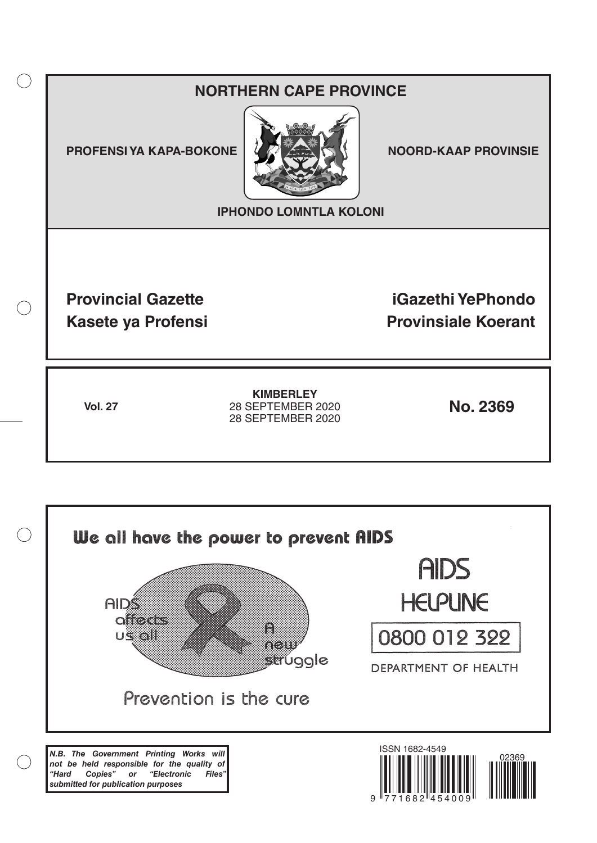# **NORTHERN CAPE PROVINCE**

**PROFENSI YA KAPA-BOKONE NOORD-KAAP PROVINSIE** 

 $($ )



**IPHONDO LOMNTLA KOLONI**

**Provincial Gazette iGazethi YePhondo Kasete ya Profensi Provinsiale Koerant** 

**Vol. 27 No. 2369** 28 SEPTEMBER 2020 **KIMBERLEY** 28 SEPTEMBER 2020

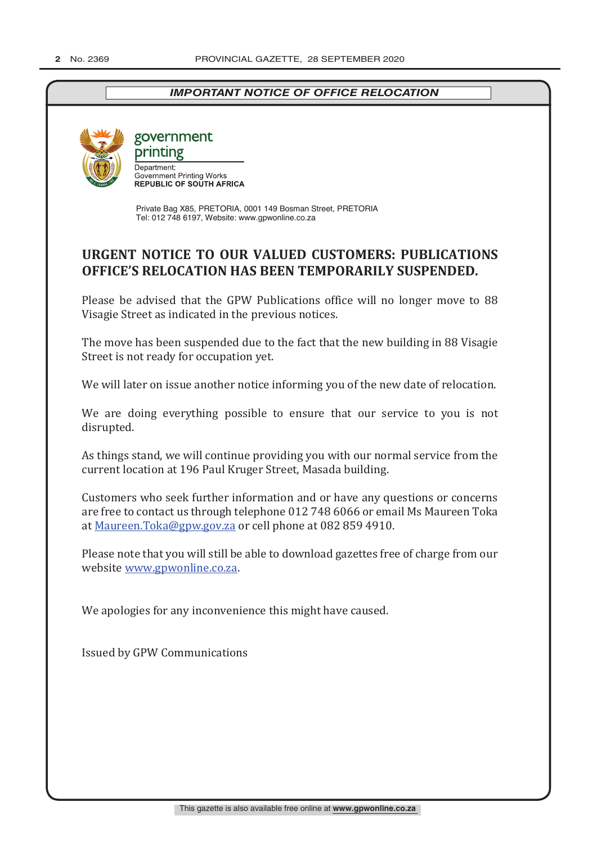## *IMPORTANT NOTICE OF OFFICE RELOCATION*



government

printing Department: Department.<br>Government Printing Works<br>REPUBLIC OF SOUTH AFRICA

Private Bag X85, PRETORIA, 0001 149 Bosman Street, PRETORIA Tel: 012 748 6197, Website: www.gpwonline.co.za

# **URGENT NOTICE TO OUR VALUED CUSTOMERS: PUBLICATIONS OFFICE'S RELOCATION HAS BEEN TEMPORARILY SUSPENDED.**

Please be advised that the GPW Publications office will no longer move to 88 Visagie Street as indicated in the previous notices.

The move has been suspended due to the fact that the new building in 88 Visagie Street is not ready for occupation yet.

We will later on issue another notice informing you of the new date of relocation.

We are doing everything possible to ensure that our service to you is not disrupted.

As things stand, we will continue providing you with our normal service from the current location at 196 Paul Kruger Street, Masada building.

Customers who seek further information and or have any questions or concerns are free to contact us through telephone 012 748 6066 or email Ms Maureen Toka at Maureen.Toka@gpw.gov.za or cell phone at 082 859 4910.

Please note that you will still be able to download gazettes free of charge from our website www.gpwonline.co.za.

We apologies for any inconvenience this might have caused.

Issued by GPW Communications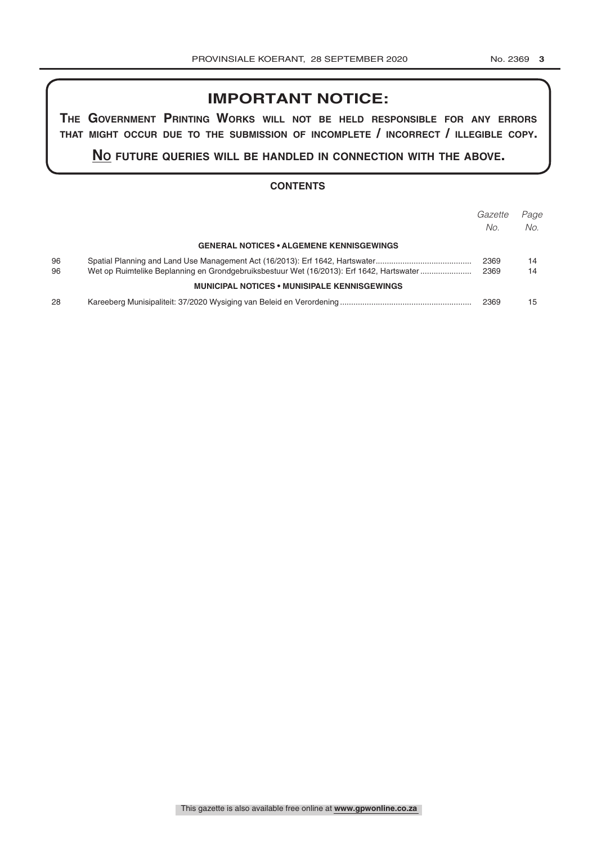# **IMPORTANT NOTICE:**

**The GovernmenT PrinTinG Works Will noT be held resPonsible for any errors ThaT miGhT occur due To The submission of incomPleTe / incorrecT / illeGible coPy.**

**no fuTure queries Will be handled in connecTion WiTh The above.**

#### **CONTENTS**

|    |                                                                                          | Gazette | Page |
|----|------------------------------------------------------------------------------------------|---------|------|
|    |                                                                                          | No.     | No.  |
|    | <b>GENERAL NOTICES • ALGEMENE KENNISGEWINGS</b>                                          |         |      |
| 96 |                                                                                          | 2369    | 14   |
| 96 | Wet op Ruimtelike Beplanning en Grondgebruiksbestuur Wet (16/2013): Erf 1642, Hartswater | 2369    | 14   |
|    | <b>MUNICIPAL NOTICES • MUNISIPALE KENNISGEWINGS</b>                                      |         |      |
| 28 |                                                                                          | 2369    | 15   |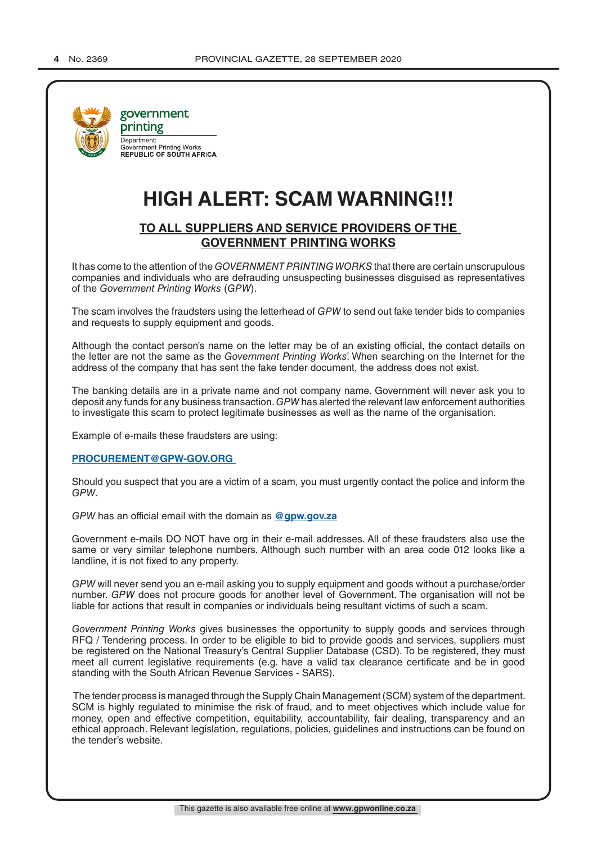

# **HIGH ALERT: SCAM WARNING!!!**

#### **TO ALL SUPPLIERS AND SERVICE PROVIDERS OF THE GOVERNMENT PRINTING WORKS**

It has come to the attention of the *GOVERNMENT PRINTING WORKS* that there are certain unscrupulous companies and individuals who are defrauding unsuspecting businesses disguised as representatives of the *Government Printing Works* (*GPW*).

The scam involves the fraudsters using the letterhead of *GPW* to send out fake tender bids to companies and requests to supply equipment and goods.

Although the contact person's name on the letter may be of an existing official, the contact details on the letter are not the same as the *Government Printing Works*'. When searching on the Internet for the address of the company that has sent the fake tender document, the address does not exist.

The banking details are in a private name and not company name. Government will never ask you to deposit any funds for any business transaction. *GPW* has alerted the relevant law enforcement authorities to investigate this scam to protect legitimate businesses as well as the name of the organisation.

Example of e-mails these fraudsters are using:

#### **PROCUREMENT@GPW-GOV.ORG**

Should you suspect that you are a victim of a scam, you must urgently contact the police and inform the *GPW*.

*GPW* has an official email with the domain as **@gpw.gov.za**

Government e-mails DO NOT have org in their e-mail addresses. All of these fraudsters also use the same or very similar telephone numbers. Although such number with an area code 012 looks like a landline, it is not fixed to any property.

*GPW* will never send you an e-mail asking you to supply equipment and goods without a purchase/order number. *GPW* does not procure goods for another level of Government. The organisation will not be liable for actions that result in companies or individuals being resultant victims of such a scam.

*Government Printing Works* gives businesses the opportunity to supply goods and services through RFQ / Tendering process. In order to be eligible to bid to provide goods and services, suppliers must be registered on the National Treasury's Central Supplier Database (CSD). To be registered, they must meet all current legislative requirements (e.g. have a valid tax clearance certificate and be in good standing with the South African Revenue Services - SARS).

 The tender process is managed through the Supply Chain Management (SCM) system of the department. SCM is highly regulated to minimise the risk of fraud, and to meet objectives which include value for money, open and effective competition, equitability, accountability, fair dealing, transparency and an ethical approach. Relevant legislation, regulations, policies, guidelines and instructions can be found on the tender's website.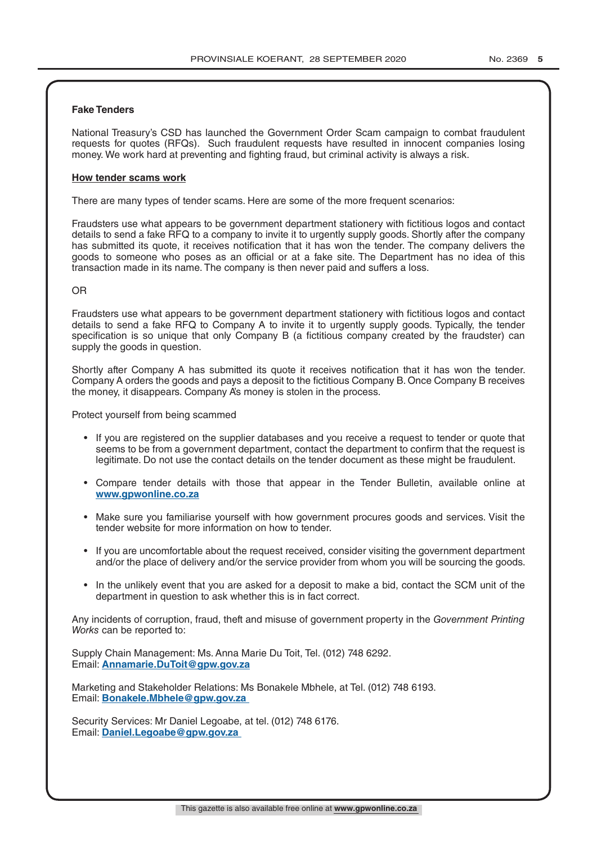#### **Fake Tenders**

National Treasury's CSD has launched the Government Order Scam campaign to combat fraudulent requests for quotes (RFQs). Such fraudulent requests have resulted in innocent companies losing money. We work hard at preventing and fighting fraud, but criminal activity is always a risk.

#### **How tender scams work**

There are many types of tender scams. Here are some of the more frequent scenarios:

Fraudsters use what appears to be government department stationery with fictitious logos and contact details to send a fake RFQ to a company to invite it to urgently supply goods. Shortly after the company has submitted its quote, it receives notification that it has won the tender. The company delivers the goods to someone who poses as an official or at a fake site. The Department has no idea of this transaction made in its name. The company is then never paid and suffers a loss.

#### OR

Fraudsters use what appears to be government department stationery with fictitious logos and contact details to send a fake RFQ to Company A to invite it to urgently supply goods. Typically, the tender specification is so unique that only Company B (a fictitious company created by the fraudster) can supply the goods in question.

Shortly after Company A has submitted its quote it receives notification that it has won the tender. Company A orders the goods and pays a deposit to the fictitious Company B. Once Company B receives the money, it disappears. Company A's money is stolen in the process.

Protect yourself from being scammed

- If you are registered on the supplier databases and you receive a request to tender or quote that seems to be from a government department, contact the department to confirm that the request is legitimate. Do not use the contact details on the tender document as these might be fraudulent.
- Compare tender details with those that appear in the Tender Bulletin, available online at **www.gpwonline.co.za**
- Make sure you familiarise yourself with how government procures goods and services. Visit the tender website for more information on how to tender.
- If you are uncomfortable about the request received, consider visiting the government department and/or the place of delivery and/or the service provider from whom you will be sourcing the goods.
- In the unlikely event that you are asked for a deposit to make a bid, contact the SCM unit of the department in question to ask whether this is in fact correct.

Any incidents of corruption, fraud, theft and misuse of government property in the *Government Printing Works* can be reported to:

Supply Chain Management: Ms. Anna Marie Du Toit, Tel. (012) 748 6292. Email: **Annamarie.DuToit@gpw.gov.za**

Marketing and Stakeholder Relations: Ms Bonakele Mbhele, at Tel. (012) 748 6193. Email: **Bonakele.Mbhele@gpw.gov.za** 

Security Services: Mr Daniel Legoabe, at tel. (012) 748 6176. Email: **Daniel.Legoabe@gpw.gov.za**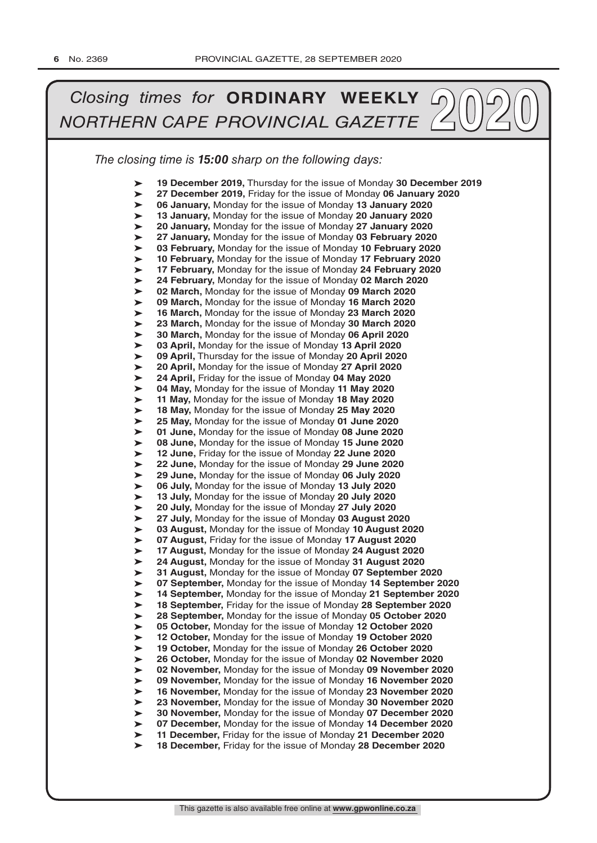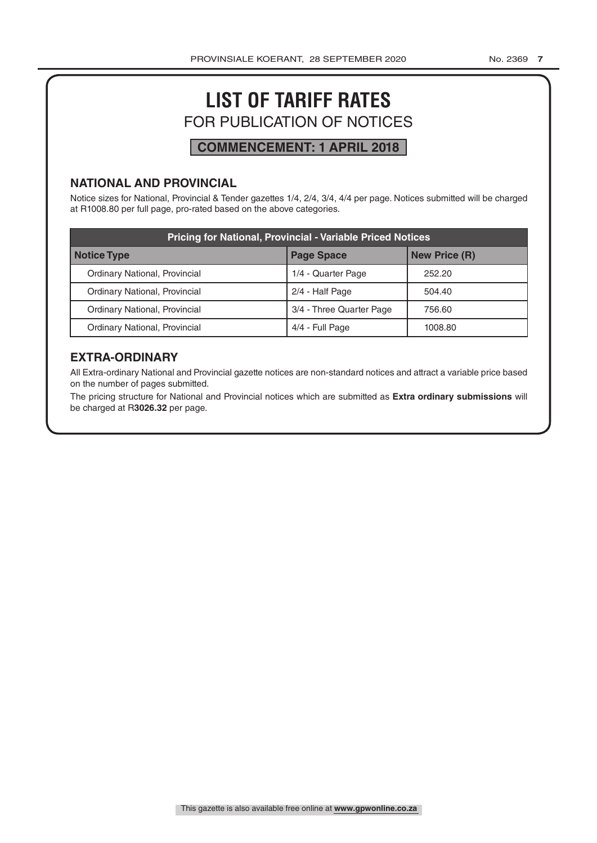# **LIST OF TARIFF RATES** FOR PUBLICATION OF NOTICES

# **COMMENCEMENT: 1 APRIL 2018**

#### **NATIONAL AND PROVINCIAL**

Notice sizes for National, Provincial & Tender gazettes 1/4, 2/4, 3/4, 4/4 per page. Notices submitted will be charged at R1008.80 per full page, pro-rated based on the above categories.

| <b>Pricing for National, Provincial - Variable Priced Notices</b> |                          |                      |  |
|-------------------------------------------------------------------|--------------------------|----------------------|--|
| Notice Type                                                       | <b>Page Space</b>        | <b>New Price (R)</b> |  |
| Ordinary National, Provincial                                     | 1/4 - Quarter Page       | 252.20               |  |
| Ordinary National, Provincial                                     | 2/4 - Half Page          | 504.40               |  |
| Ordinary National, Provincial                                     | 3/4 - Three Quarter Page | 756.60               |  |
| Ordinary National, Provincial                                     | 4/4 - Full Page          | 1008.80              |  |

### **EXTRA-ORDINARY**

All Extra-ordinary National and Provincial gazette notices are non-standard notices and attract a variable price based on the number of pages submitted.

The pricing structure for National and Provincial notices which are submitted as **Extra ordinary submissions** will be charged at R**3026.32** per page.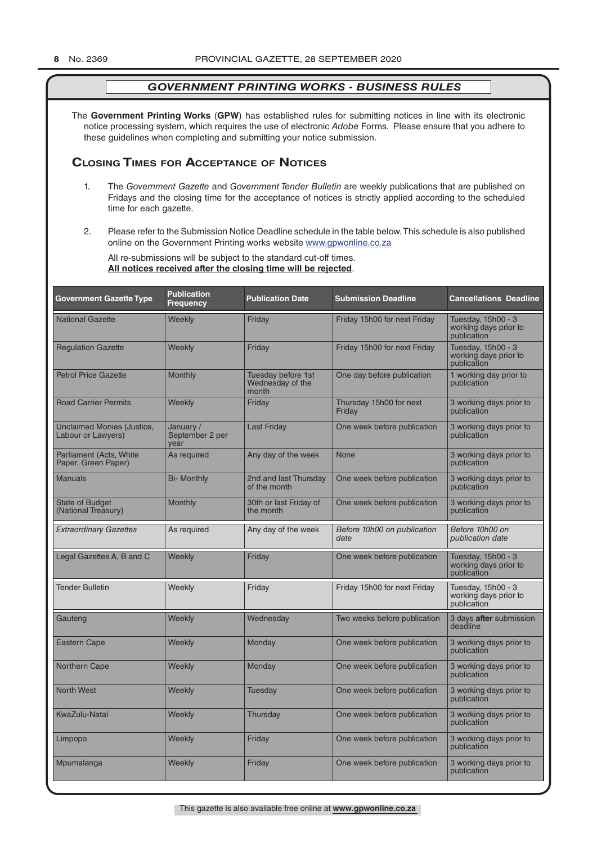The **Government Printing Works** (**GPW**) has established rules for submitting notices in line with its electronic notice processing system, which requires the use of electronic *Adobe* Forms. Please ensure that you adhere to these guidelines when completing and submitting your notice submission.

#### **Closing Times for ACCepTAnCe of noTiCes**

- 1. The *Government Gazette* and *Government Tender Bulletin* are weekly publications that are published on Fridays and the closing time for the acceptance of notices is strictly applied according to the scheduled time for each gazette.
- 2. Please refer to the Submission Notice Deadline schedule in the table below. This schedule is also published online on the Government Printing works website www.gpwonline.co.za

All re-submissions will be subject to the standard cut-off times. **All notices received after the closing time will be rejected**.

| <b>Government Gazette Type</b>                   | <b>Publication</b><br><b>Frequency</b> | <b>Publication Date</b>                         | <b>Submission Deadline</b>          | <b>Cancellations Deadline</b>                              |
|--------------------------------------------------|----------------------------------------|-------------------------------------------------|-------------------------------------|------------------------------------------------------------|
| <b>National Gazette</b>                          | Weekly                                 | Friday                                          | Friday 15h00 for next Friday        | Tuesday, 15h00 - 3<br>working days prior to<br>publication |
| <b>Regulation Gazette</b>                        | Weekly                                 | Friday                                          | Friday 15h00 for next Friday        | Tuesday, 15h00 - 3<br>working days prior to<br>publication |
| <b>Petrol Price Gazette</b>                      | Monthly                                | Tuesday before 1st<br>Wednesday of the<br>month | One day before publication          | 1 working day prior to<br>publication                      |
| <b>Road Carrier Permits</b>                      | Weekly                                 | Friday                                          | Thursday 15h00 for next<br>Friday   | 3 working days prior to<br>publication                     |
| Unclaimed Monies (Justice,<br>Labour or Lawyers) | January /<br>September 2 per<br>vear   | <b>Last Friday</b>                              | One week before publication         | 3 working days prior to<br>publication                     |
| Parliament (Acts, White<br>Paper, Green Paper)   | As required                            | Any day of the week                             | <b>None</b>                         | 3 working days prior to<br>publication                     |
| <b>Manuals</b>                                   | <b>Bi- Monthly</b>                     | 2nd and last Thursday<br>of the month           | One week before publication         | 3 working days prior to<br>publication                     |
| <b>State of Budget</b><br>(National Treasury)    | Monthly                                | 30th or last Friday of<br>the month             | One week before publication         | 3 working days prior to<br>publication                     |
| <b>Extraordinary Gazettes</b>                    | As required                            | Any day of the week                             | Before 10h00 on publication<br>date | Before 10h00 on<br>publication date                        |
| Legal Gazettes A, B and C                        | Weekly                                 | Friday                                          | One week before publication         | Tuesday, 15h00 - 3<br>working days prior to<br>publication |
| <b>Tender Bulletin</b>                           | Weekly                                 | Friday                                          | Friday 15h00 for next Friday        | Tuesday, 15h00 - 3<br>working days prior to<br>publication |
| Gauteng                                          | Weekly                                 | Wednesday                                       | Two weeks before publication        | 3 days after submission<br>deadline                        |
| <b>Eastern Cape</b>                              | Weekly                                 | Monday                                          | One week before publication         | 3 working days prior to<br>publication                     |
| Northern Cape                                    | Weekly                                 | Monday                                          | One week before publication         | 3 working days prior to<br>publication                     |
| <b>North West</b>                                | Weekly                                 | <b>Tuesday</b>                                  | One week before publication         | 3 working days prior to<br>publication                     |
| <b>KwaZulu-Natal</b>                             | Weekly                                 | Thursday                                        | One week before publication         | 3 working days prior to<br>publication                     |
| Limpopo                                          | Weekly                                 | Friday                                          | One week before publication         | 3 working days prior to<br>publication                     |
| Mpumalanga                                       | Weekly                                 | Friday                                          | One week before publication         | 3 working days prior to<br>publication                     |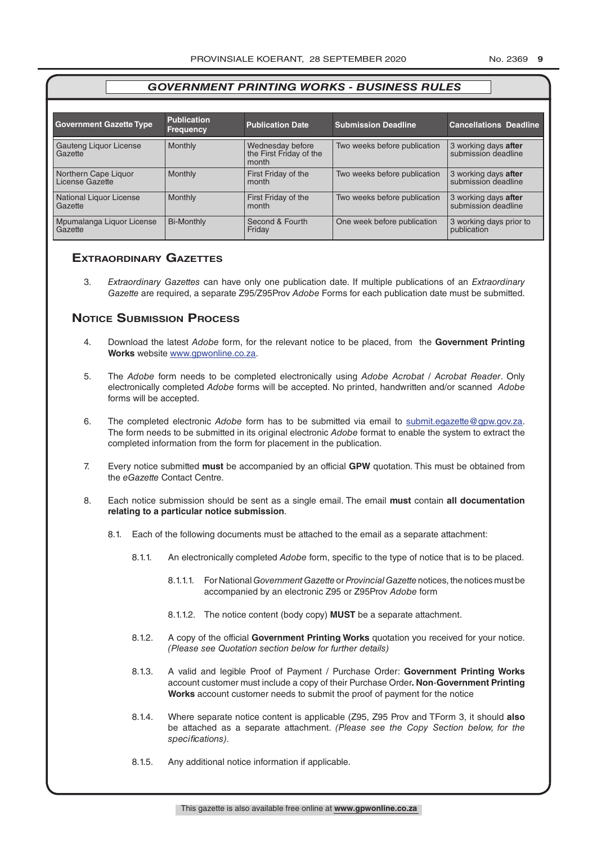| <b>Government Gazette Type</b>          | <b>Publication</b><br><b>Frequency</b> | <b>Publication Date</b>                              | <b>Submission Deadline</b>   | <b>Cancellations Deadline</b>               |
|-----------------------------------------|----------------------------------------|------------------------------------------------------|------------------------------|---------------------------------------------|
| Gauteng Liquor License<br>Gazette       | Monthly                                | Wednesday before<br>the First Friday of the<br>month | Two weeks before publication | 3 working days after<br>submission deadline |
| Northern Cape Liquor<br>License Gazette | Monthly                                | First Friday of the<br>month                         | Two weeks before publication | 3 working days after<br>submission deadline |
| National Liquor License<br>Gazette      | Monthly                                | First Friday of the<br>month                         | Two weeks before publication | 3 working days after<br>submission deadline |
| Mpumalanga Liquor License<br>Gazette    | <b>Bi-Monthly</b>                      | Second & Fourth<br>Friday                            | One week before publication  | 3 working days prior to<br>publication      |

#### **exTrAordinAry gAzeTTes**

3. *Extraordinary Gazettes* can have only one publication date. If multiple publications of an *Extraordinary Gazette* are required, a separate Z95/Z95Prov *Adobe* Forms for each publication date must be submitted.

#### **NOTICE SUBMISSION PROCESS**

- 4. Download the latest *Adobe* form, for the relevant notice to be placed, from the **Government Printing Works** website www.gpwonline.co.za.
- 5. The *Adobe* form needs to be completed electronically using *Adobe Acrobat* / *Acrobat Reader*. Only electronically completed *Adobe* forms will be accepted. No printed, handwritten and/or scanned *Adobe* forms will be accepted.
- 6. The completed electronic *Adobe* form has to be submitted via email to submit.egazette@gpw.gov.za. The form needs to be submitted in its original electronic *Adobe* format to enable the system to extract the completed information from the form for placement in the publication.
- 7. Every notice submitted **must** be accompanied by an official **GPW** quotation. This must be obtained from the *eGazette* Contact Centre.
- 8. Each notice submission should be sent as a single email. The email **must** contain **all documentation relating to a particular notice submission**.
	- 8.1. Each of the following documents must be attached to the email as a separate attachment:
		- 8.1.1. An electronically completed *Adobe* form, specific to the type of notice that is to be placed.
			- 8.1.1.1. For National *Government Gazette* or *Provincial Gazette* notices, the notices must be accompanied by an electronic Z95 or Z95Prov *Adobe* form
			- 8.1.1.2. The notice content (body copy) **MUST** be a separate attachment.
		- 8.1.2. A copy of the official **Government Printing Works** quotation you received for your notice. *(Please see Quotation section below for further details)*
		- 8.1.3. A valid and legible Proof of Payment / Purchase Order: **Government Printing Works** account customer must include a copy of their Purchase Order*.* **Non**-**Government Printing Works** account customer needs to submit the proof of payment for the notice
		- 8.1.4. Where separate notice content is applicable (Z95, Z95 Prov and TForm 3, it should **also** be attached as a separate attachment. *(Please see the Copy Section below, for the specifications)*.
		- 8.1.5. Any additional notice information if applicable.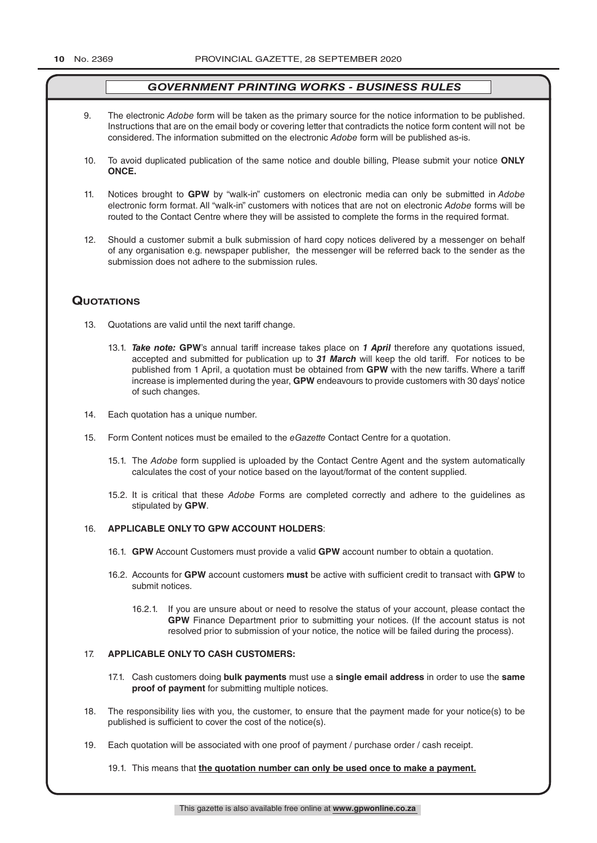- 9. The electronic *Adobe* form will be taken as the primary source for the notice information to be published. Instructions that are on the email body or covering letter that contradicts the notice form content will not be considered. The information submitted on the electronic *Adobe* form will be published as-is.
- 10. To avoid duplicated publication of the same notice and double billing, Please submit your notice **ONLY ONCE.**
- 11. Notices brought to **GPW** by "walk-in" customers on electronic media can only be submitted in *Adobe* electronic form format. All "walk-in" customers with notices that are not on electronic *Adobe* forms will be routed to the Contact Centre where they will be assisted to complete the forms in the required format.
- 12. Should a customer submit a bulk submission of hard copy notices delivered by a messenger on behalf of any organisation e.g. newspaper publisher, the messenger will be referred back to the sender as the submission does not adhere to the submission rules.

#### **QuoTATions**

- 13. Quotations are valid until the next tariff change.
	- 13.1. *Take note:* **GPW**'s annual tariff increase takes place on *1 April* therefore any quotations issued, accepted and submitted for publication up to *31 March* will keep the old tariff. For notices to be published from 1 April, a quotation must be obtained from **GPW** with the new tariffs. Where a tariff increase is implemented during the year, **GPW** endeavours to provide customers with 30 days' notice of such changes.
- 14. Each quotation has a unique number.
- 15. Form Content notices must be emailed to the *eGazette* Contact Centre for a quotation.
	- 15.1. The *Adobe* form supplied is uploaded by the Contact Centre Agent and the system automatically calculates the cost of your notice based on the layout/format of the content supplied.
	- 15.2. It is critical that these *Adobe* Forms are completed correctly and adhere to the guidelines as stipulated by **GPW**.

#### 16. **APPLICABLE ONLY TO GPW ACCOUNT HOLDERS**:

- 16.1. **GPW** Account Customers must provide a valid **GPW** account number to obtain a quotation.
- 16.2. Accounts for **GPW** account customers **must** be active with sufficient credit to transact with **GPW** to submit notices.
	- 16.2.1. If you are unsure about or need to resolve the status of your account, please contact the **GPW** Finance Department prior to submitting your notices. (If the account status is not resolved prior to submission of your notice, the notice will be failed during the process).

#### 17. **APPLICABLE ONLY TO CASH CUSTOMERS:**

- 17.1. Cash customers doing **bulk payments** must use a **single email address** in order to use the **same proof of payment** for submitting multiple notices.
- 18. The responsibility lies with you, the customer, to ensure that the payment made for your notice(s) to be published is sufficient to cover the cost of the notice(s).
- 19. Each quotation will be associated with one proof of payment / purchase order / cash receipt.

19.1. This means that **the quotation number can only be used once to make a payment.**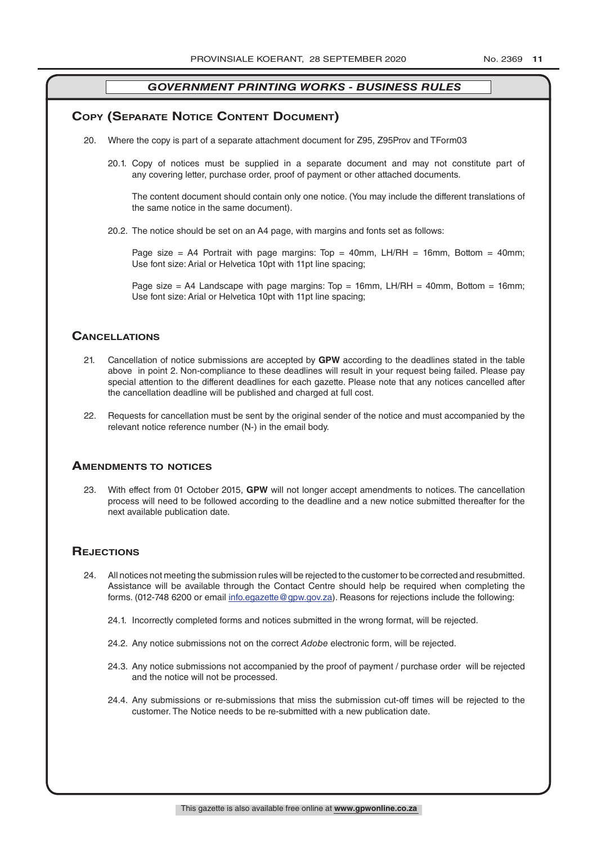#### **COPY (SEPARATE NOTICE CONTENT DOCUMENT)**

- 20. Where the copy is part of a separate attachment document for Z95, Z95Prov and TForm03
	- 20.1. Copy of notices must be supplied in a separate document and may not constitute part of any covering letter, purchase order, proof of payment or other attached documents.

The content document should contain only one notice. (You may include the different translations of the same notice in the same document).

20.2. The notice should be set on an A4 page, with margins and fonts set as follows:

Page size = A4 Portrait with page margins: Top = 40mm, LH/RH = 16mm, Bottom = 40mm; Use font size: Arial or Helvetica 10pt with 11pt line spacing;

Page size = A4 Landscape with page margins: Top = 16mm, LH/RH = 40mm, Bottom = 16mm; Use font size: Arial or Helvetica 10pt with 11pt line spacing;

#### **CAnCellATions**

- 21. Cancellation of notice submissions are accepted by **GPW** according to the deadlines stated in the table above in point 2. Non-compliance to these deadlines will result in your request being failed. Please pay special attention to the different deadlines for each gazette. Please note that any notices cancelled after the cancellation deadline will be published and charged at full cost.
- 22. Requests for cancellation must be sent by the original sender of the notice and must accompanied by the relevant notice reference number (N-) in the email body.

#### **AmendmenTs To noTiCes**

23. With effect from 01 October 2015, **GPW** will not longer accept amendments to notices. The cancellation process will need to be followed according to the deadline and a new notice submitted thereafter for the next available publication date.

#### **REJECTIONS**

- 24. All notices not meeting the submission rules will be rejected to the customer to be corrected and resubmitted. Assistance will be available through the Contact Centre should help be required when completing the forms. (012-748 6200 or email info.egazette@gpw.gov.za). Reasons for rejections include the following:
	- 24.1. Incorrectly completed forms and notices submitted in the wrong format, will be rejected.
	- 24.2. Any notice submissions not on the correct *Adobe* electronic form, will be rejected.
	- 24.3. Any notice submissions not accompanied by the proof of payment / purchase order will be rejected and the notice will not be processed.
	- 24.4. Any submissions or re-submissions that miss the submission cut-off times will be rejected to the customer. The Notice needs to be re-submitted with a new publication date.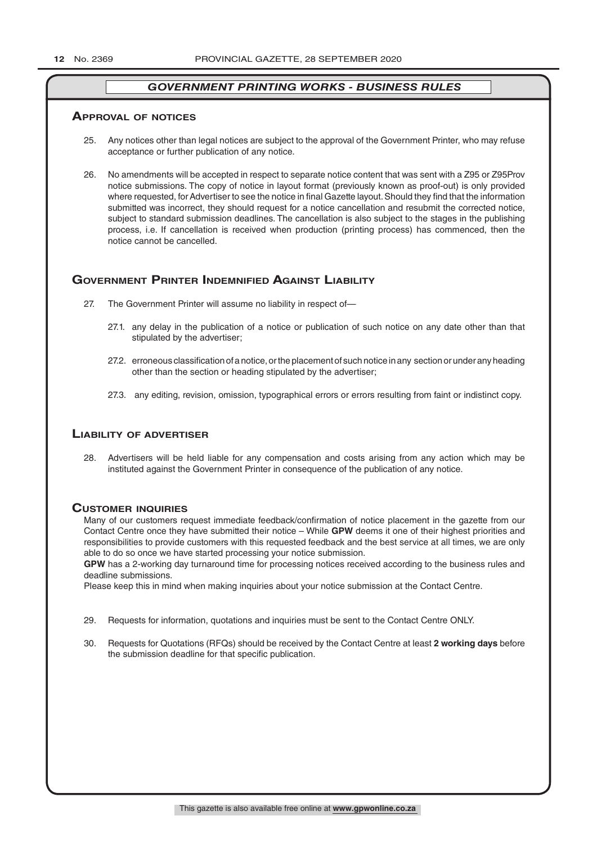#### **ApprovAl of noTiCes**

- 25. Any notices other than legal notices are subject to the approval of the Government Printer, who may refuse acceptance or further publication of any notice.
- 26. No amendments will be accepted in respect to separate notice content that was sent with a Z95 or Z95Prov notice submissions. The copy of notice in layout format (previously known as proof-out) is only provided where requested, for Advertiser to see the notice in final Gazette layout. Should they find that the information submitted was incorrect, they should request for a notice cancellation and resubmit the corrected notice, subject to standard submission deadlines. The cancellation is also subject to the stages in the publishing process, i.e. If cancellation is received when production (printing process) has commenced, then the notice cannot be cancelled.

#### **GOVERNMENT PRINTER INDEMNIFIED AGAINST LIABILITY**

- 27. The Government Printer will assume no liability in respect of—
	- 27.1. any delay in the publication of a notice or publication of such notice on any date other than that stipulated by the advertiser;
	- 27.2. erroneous classification of a notice, or the placement of such notice in any section or under any heading other than the section or heading stipulated by the advertiser;
	- 27.3. any editing, revision, omission, typographical errors or errors resulting from faint or indistinct copy.

#### **liAbiliTy of AdverTiser**

28. Advertisers will be held liable for any compensation and costs arising from any action which may be instituted against the Government Printer in consequence of the publication of any notice.

#### **CusTomer inQuiries**

Many of our customers request immediate feedback/confirmation of notice placement in the gazette from our Contact Centre once they have submitted their notice – While **GPW** deems it one of their highest priorities and responsibilities to provide customers with this requested feedback and the best service at all times, we are only able to do so once we have started processing your notice submission.

**GPW** has a 2-working day turnaround time for processing notices received according to the business rules and deadline submissions.

Please keep this in mind when making inquiries about your notice submission at the Contact Centre.

- 29. Requests for information, quotations and inquiries must be sent to the Contact Centre ONLY.
- 30. Requests for Quotations (RFQs) should be received by the Contact Centre at least **2 working days** before the submission deadline for that specific publication.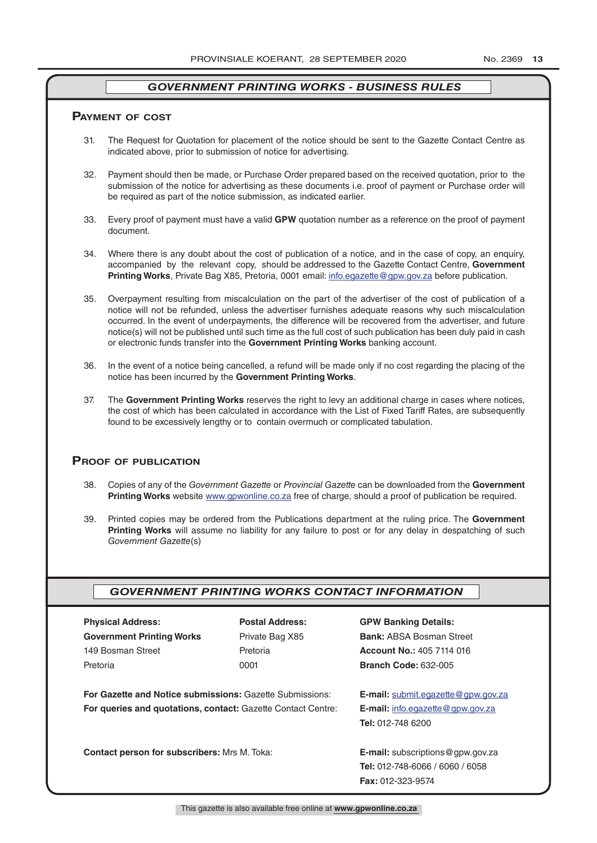#### **pAymenT of CosT**

- 31. The Request for Quotation for placement of the notice should be sent to the Gazette Contact Centre as indicated above, prior to submission of notice for advertising.
- 32. Payment should then be made, or Purchase Order prepared based on the received quotation, prior to the submission of the notice for advertising as these documents i.e. proof of payment or Purchase order will be required as part of the notice submission, as indicated earlier.
- 33. Every proof of payment must have a valid **GPW** quotation number as a reference on the proof of payment document.
- 34. Where there is any doubt about the cost of publication of a notice, and in the case of copy, an enquiry, accompanied by the relevant copy, should be addressed to the Gazette Contact Centre, **Government Printing Works**, Private Bag X85, Pretoria, 0001 email: info.egazette@gpw.gov.za before publication.
- 35. Overpayment resulting from miscalculation on the part of the advertiser of the cost of publication of a notice will not be refunded, unless the advertiser furnishes adequate reasons why such miscalculation occurred. In the event of underpayments, the difference will be recovered from the advertiser, and future notice(s) will not be published until such time as the full cost of such publication has been duly paid in cash or electronic funds transfer into the **Government Printing Works** banking account.
- 36. In the event of a notice being cancelled, a refund will be made only if no cost regarding the placing of the notice has been incurred by the **Government Printing Works**.
- 37. The **Government Printing Works** reserves the right to levy an additional charge in cases where notices, the cost of which has been calculated in accordance with the List of Fixed Tariff Rates, are subsequently found to be excessively lengthy or to contain overmuch or complicated tabulation.

#### **proof of publiCATion**

- 38. Copies of any of the *Government Gazette* or *Provincial Gazette* can be downloaded from the **Government Printing Works** website www.gpwonline.co.za free of charge, should a proof of publication be required.
- 39. Printed copies may be ordered from the Publications department at the ruling price. The **Government Printing Works** will assume no liability for any failure to post or for any delay in despatching of such *Government Gazette*(s)

#### *GOVERNMENT PRINTING WORKS CONTACT INFORMATION*

| <b>Physical Address:</b>                                            | <b>Postal Address:</b> | <b>GPW Banking Details:</b>               |  |
|---------------------------------------------------------------------|------------------------|-------------------------------------------|--|
| <b>Government Printing Works</b>                                    | Private Bag X85        | <b>Bank: ABSA Bosman Street</b>           |  |
| 149 Bosman Street                                                   | Pretoria               | <b>Account No.: 405 7114 016</b>          |  |
| Pretoria                                                            | 0001                   | <b>Branch Code: 632-005</b>               |  |
| <b>For Gazette and Notice submissions: Gazette Submissions:</b>     |                        | <b>E-mail:</b> submit.eqazette@gpw.gov.za |  |
| <b>For queries and quotations, contact: Gazette Contact Centre:</b> |                        | <b>E-mail:</b> info.egazette@gpw.gov.za   |  |
|                                                                     |                        | <b>Tel: 012-748 6200</b>                  |  |
| <b>Contact person for subscribers: Mrs M. Toka:</b>                 |                        | <b>E-mail:</b> subscriptions @gpw.gov.za  |  |
|                                                                     |                        | <b>Tel:</b> 012-748-6066 / 6060 / 6058    |  |
|                                                                     |                        | <b>Fax: 012-323-9574</b>                  |  |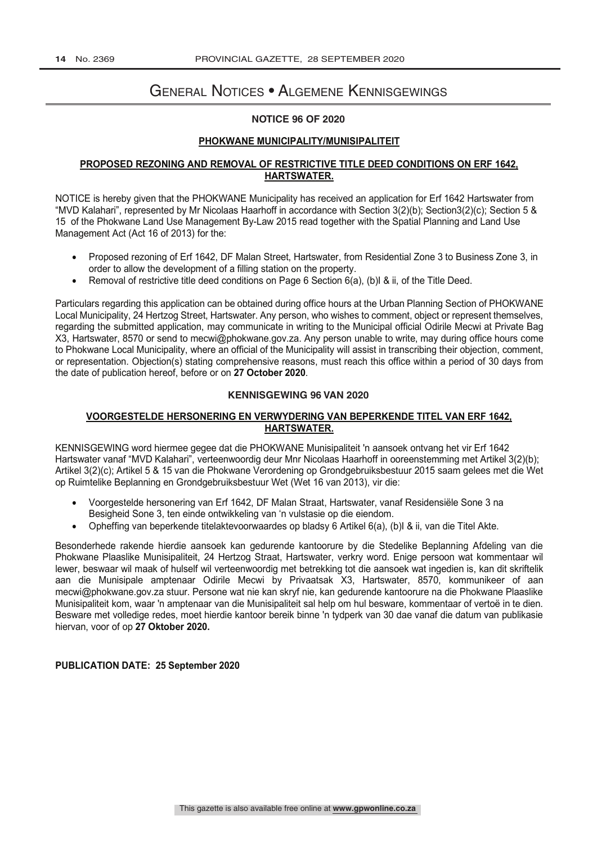# General Notices • Algemene Kennisgewings

#### **NOTICE 96 OF 2020**

#### **PHOKWANE MUNICIPALITY/MUNISIPALITEIT**

#### **PROPOSED REZONING AND REMOVAL OF RESTRICTIVE TITLE DEED CONDITIONS ON ERF 1642, HARTSWATER.**

NOTICE is hereby given that the PHOKWANE Municipality has received an application for Erf 1642 Hartswater from "MVD Kalahari", represented by Mr Nicolaas Haarhoff in accordance with Section 3(2)(b); Section3(2)(c); Section 5 & 15 of the Phokwane Land Use Management By-Law 2015 read together with the Spatial Planning and Land Use Management Act (Act 16 of 2013) for the:

- Proposed rezoning of Erf 1642, DF Malan Street, Hartswater, from Residential Zone 3 to Business Zone 3, in order to allow the development of a filling station on the property.
- Removal of restrictive title deed conditions on Page 6 Section 6(a), (b)I & ii, of the Title Deed.

Particulars regarding this application can be obtained during office hours at the Urban Planning Section of PHOKWANE Local Municipality, 24 Hertzog Street, Hartswater. Any person, who wishes to comment, object or represent themselves, regarding the submitted application, may communicate in writing to the Municipal official Odirile Mecwi at Private Bag X3, Hartswater, 8570 or send to mecwi@phokwane.gov.za. Any person unable to write, may during office hours come to Phokwane Local Municipality, where an official of the Municipality will assist in transcribing their objection, comment, or representation. Objection(s) stating comprehensive reasons, must reach this office within a period of 30 days from the date of publication hereof, before or on **27 October 2020**.

#### **KENNISGEWING 96 VAN 2020**

#### **VOORGESTELDE HERSONERING EN VERWYDERING VAN BEPERKENDE TITEL VAN ERF 1642, HARTSWATER.**

KENNISGEWING word hiermee gegee dat die PHOKWANE Munisipaliteit 'n aansoek ontvang het vir Erf 1642 Hartswater vanaf "MVD Kalahari", verteenwoordig deur Mnr Nicolaas Haarhoff in ooreenstemming met Artikel 3(2)(b); Artikel 3(2)(c); Artikel 5 & 15 van die Phokwane Verordening op Grondgebruiksbestuur 2015 saam gelees met die Wet op Ruimtelike Beplanning en Grondgebruiksbestuur Wet (Wet 16 van 2013), vir die:

- Voorgestelde hersonering van Erf 1642, DF Malan Straat, Hartswater, vanaf Residensiële Sone 3 na Besigheid Sone 3, ten einde ontwikkeling van 'n vulstasie op die eiendom.
- Opheffing van beperkende titelaktevoorwaardes op bladsy 6 Artikel 6(a), (b)I & ii, van die Titel Akte.

Besonderhede rakende hierdie aansoek kan gedurende kantoorure by die Stedelike Beplanning Afdeling van die Phokwane Plaaslike Munisipaliteit, 24 Hertzog Straat, Hartswater, verkry word. Enige persoon wat kommentaar wil lewer, beswaar wil maak of hulself wil verteenwoordig met betrekking tot die aansoek wat ingedien is, kan dit skriftelik aan die Munisipale amptenaar Odirile Mecwi by Privaatsak X3, Hartswater, 8570, kommunikeer of aan mecwi@phokwane.gov.za stuur. Persone wat nie kan skryf nie, kan gedurende kantoorure na die Phokwane Plaaslike Munisipaliteit kom, waar 'n amptenaar van die Munisipaliteit sal help om hul besware, kommentaar of vertoë in te dien. Besware met volledige redes, moet hierdie kantoor bereik binne 'n tydperk van 30 dae vanaf die datum van publikasie hiervan, voor of op **27 Oktober 2020.**

#### **PUBLICATION DATE: 25 September 2020**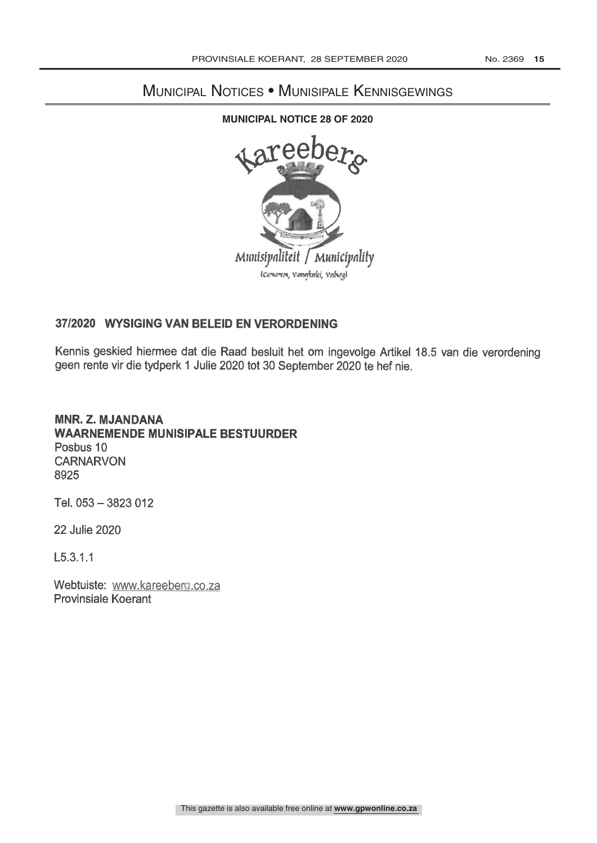# Municipal Notices • Munisipale Kennisgewings

#### **MUNICIPAL NOTICE 28 OF 2020**



## 37/2020 WYSIGING VAN BELEID EN VERORDENING

Kennis geskied hiermee dat die Raad besluit het om ingevolge Artikel 18.5 van die verordening geen rente vir die tydperk 1 Julie 2020 tot 30 September 2020 to hef nie.

### MNR. Z. MJANDANA WAARNEMENDE MUNISIPALE BESTUURDER Posbus 10 **CARNARVON** 8925

Tel.  $053 - 3823012$ 

**22 Julie 2020** 

L5.3.1.1

Webtuiste: www.kareeberg.co.za Provinsiale Koerant